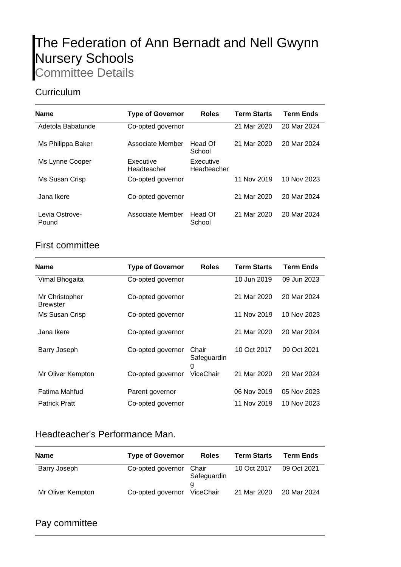# The Federation of Ann Bernadt and Nell Gwynn Nursery Schools

Committee Details

## **Curriculum**

| Name                    | <b>Type of Governor</b>  | <b>Roles</b>             | <b>Term Starts</b> | <b>Term Ends</b> |
|-------------------------|--------------------------|--------------------------|--------------------|------------------|
| Adetola Babatunde       | Co-opted governor        |                          | 21 Mar 2020        | 20 Mar 2024      |
| Ms Philippa Baker       | Associate Member         | Head Of<br>School        | 21 Mar 2020        | 20 Mar 2024      |
| Ms Lynne Cooper         | Executive<br>Headteacher | Executive<br>Headteacher |                    |                  |
| Ms Susan Crisp          | Co-opted governor        |                          | 11 Nov 2019        | 10 Nov 2023      |
| Jana Ikere              | Co-opted governor        |                          | 21 Mar 2020        | 20 Mar 2024      |
| Levia Ostrove-<br>Pound | Associate Member         | Head Of<br>School        | 21 Mar 2020        | 20 Mar 2024      |

## First committee

| <b>Name</b>                       | <b>Type of Governor</b> | <b>Roles</b>              | <b>Term Starts</b> | <b>Term Ends</b> |
|-----------------------------------|-------------------------|---------------------------|--------------------|------------------|
| Vimal Bhogaita                    | Co-opted governor       |                           | 10 Jun 2019        | 09 Jun 2023      |
| Mr Christopher<br><b>Brewster</b> | Co-opted governor       |                           | 21 Mar 2020        | 20 Mar 2024      |
| Ms Susan Crisp                    | Co-opted governor       |                           | 11 Nov 2019        | 10 Nov 2023      |
| Jana Ikere                        | Co-opted governor       |                           | 21 Mar 2020        | 20 Mar 2024      |
| Barry Joseph                      | Co-opted governor       | Chair<br>Safeguardin<br>g | 10 Oct 2017        | 09 Oct 2021      |
| Mr Oliver Kempton                 | Co-opted governor       | ViceChair                 | 21 Mar 2020        | 20 Mar 2024      |
| Fatima Mahfud                     | Parent governor         |                           | 06 Nov 2019        | 05 Nov 2023      |
| <b>Patrick Pratt</b>              | Co-opted governor       |                           | 11 Nov 2019        | 10 Nov 2023      |

## Headteacher's Performance Man.

| <b>Name</b>       | <b>Type of Governor</b> | <b>Roles</b>         | <b>Term Starts</b> | <b>Term Ends</b> |
|-------------------|-------------------------|----------------------|--------------------|------------------|
| Barry Joseph      | Co-opted governor       | Chair<br>Safeguardin | 10 Oct 2017        | 09 Oct 2021      |
| Mr Oliver Kempton | Co-opted governor       | a<br>ViceChair       | 21 Mar 2020        | 20 Mar 2024      |

#### Pay committee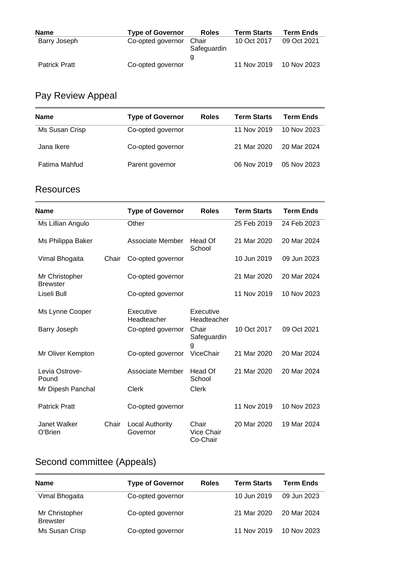| <b>Name</b>          | <b>Type of Governor</b> | <b>Roles</b>         | <b>Term Starts</b> | <b>Term Ends</b> |
|----------------------|-------------------------|----------------------|--------------------|------------------|
| Barry Joseph         | Co-opted governor       | Chair<br>Safeguardin | 10 Oct 2017        | 09 Oct 2021      |
|                      |                         |                      |                    |                  |
| <b>Patrick Pratt</b> | Co-opted governor       |                      | 11 Nov 2019        | 10 Nov 2023      |

# Pay Review Appeal

| <b>Name</b>    | <b>Type of Governor</b> | <b>Roles</b> | <b>Term Starts</b> | Term Ends   |
|----------------|-------------------------|--------------|--------------------|-------------|
| Ms Susan Crisp | Co-opted governor       |              | 11 Nov 2019        | 10 Nov 2023 |
| Jana Ikere     | Co-opted governor       |              | 21 Mar 2020        | 20 Mar 2024 |
| Fatima Mahfud  | Parent governor         |              | 06 Nov 2019        | 05 Nov 2023 |

#### **Resources**

| <b>Name</b>                       |       | <b>Type of Governor</b>            | <b>Roles</b>                           | <b>Term Starts</b> | <b>Term Ends</b> |
|-----------------------------------|-------|------------------------------------|----------------------------------------|--------------------|------------------|
| Ms Lillian Angulo                 |       | Other                              |                                        | 25 Feb 2019        | 24 Feb 2023      |
| Ms Philippa Baker                 |       | Associate Member                   | Head Of<br>School                      | 21 Mar 2020        | 20 Mar 2024      |
| Vimal Bhogaita                    | Chair | Co-opted governor                  |                                        | 10 Jun 2019        | 09 Jun 2023      |
| Mr Christopher<br><b>Brewster</b> |       | Co-opted governor                  |                                        | 21 Mar 2020        | 20 Mar 2024      |
| Liseli Bull                       |       | Co-opted governor                  |                                        | 11 Nov 2019        | 10 Nov 2023      |
| Ms Lynne Cooper                   |       | Executive<br>Headteacher           | Executive<br>Headteacher               |                    |                  |
| Barry Joseph                      |       | Co-opted governor                  | Chair<br>Safeguardin<br>g              | 10 Oct 2017        | 09 Oct 2021      |
| Mr Oliver Kempton                 |       | Co-opted governor                  | ViceChair                              | 21 Mar 2020        | 20 Mar 2024      |
| Levia Ostrove-<br>Pound           |       | Associate Member                   | Head Of<br>School                      | 21 Mar 2020        | 20 Mar 2024      |
| Mr Dipesh Panchal                 |       | Clerk                              | <b>Clerk</b>                           |                    |                  |
| <b>Patrick Pratt</b>              |       | Co-opted governor                  |                                        | 11 Nov 2019        | 10 Nov 2023      |
| Janet Walker<br>O'Brien           | Chair | <b>Local Authority</b><br>Governor | Chair<br><b>Vice Chair</b><br>Co-Chair | 20 Mar 2020        | 19 Mar 2024      |

# Second committee (Appeals)

| <b>Name</b>                       | <b>Type of Governor</b> | <b>Roles</b> | <b>Term Starts</b> | <b>Term Ends</b> |
|-----------------------------------|-------------------------|--------------|--------------------|------------------|
| Vimal Bhogaita                    | Co-opted governor       |              | 10 Jun 2019        | 09 Jun 2023      |
| Mr Christopher<br><b>Brewster</b> | Co-opted governor       |              | 21 Mar 2020        | 20 Mar 2024      |
| Ms Susan Crisp                    | Co-opted governor       |              | 11 Nov 2019        | 10 Nov 2023      |